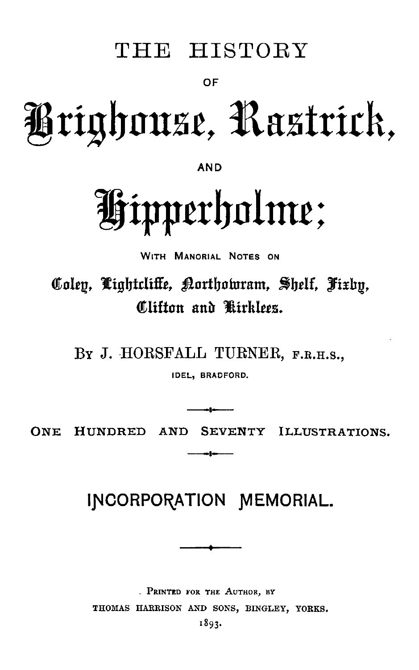# THE HISTORY

# OF Brighouse, Rastrick,

AN D

Hipperholme;

WITH MANORIAL NOTES ON

**(Coley, Lightcliffe, Northowram, Shelf, Fixby , (Clifton and Kirklees .**

BY J. HORSFALL TURNER, F.R.H.S.,

**IDEL, BRADFORD.**

ONE HUNDRED AND SEVENTY ILLUSTRATIONS.

INCORPORATION MEMORIAL.

**PRINTED FOR THE AUTHOR, BY THOMAS HARRISON AND SONS, BINGLEY, YORKS . 1893 .**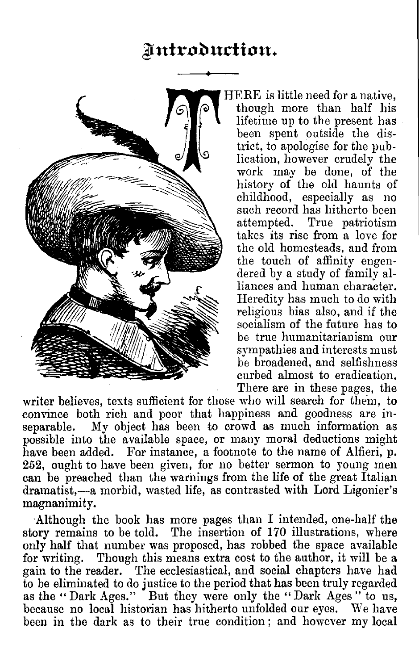# **Introduction .**



HERE is little need for a native, though more than half his lifetime up to the present has been spent outside the district, to apologise for the publication, however crudely the work may be done, of the history of the old haunts of childhood, especially as no such record has hitherto been attempted. True patriotism takes its rise from a love for the old homesteads, and from the touch of affinity engendered by a study of family alliances and human character. Heredity has much to do with religious bias also, and if the socialism of the future has to be true humanitarianism our sympathies and interests must be broadened, and selfishness curbed almost to eradication. There are in these pages, the

writer believes, texts sufficient for those who will search for them, to convince both rich and poor that happiness and goodness are inseparable. My object has been to crowd as much information as possible into the available space, or many moral deductions might have been added. For instance, a footnote to the name of Alfieri, p.  $252$ , ought to have been given, for no better sermon to young men can be preached than the warnings from the life of the great Italian dramatist,—a morbid, wasted life, as contrasted with Lord Ligonier's magnanimity.

Although the book has more pages than I intended, one-half the story remains to be told. The insertion of 170 illustrations, where only half that number was proposed, has robbed the space available for writing. Though this means extra cost to the author, it will be a gain to the reader. The ecclesiastical, and social chapters have had to be eliminated to do justice to the period that has been truly regarded as the " Dark Ages." But they were only the " Dark Ages " to us, because no local historian has hitherto unfolded our eyes. We have been in the dark as to their true condition ; and however my local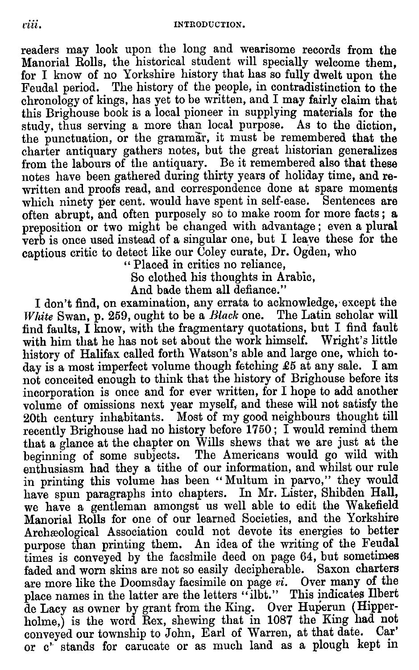readers may look upon the long and wearisome records from the Manorial Rolls, the historical student will specially welcome them, for I know of no Yorkshire history that has so fully dwelt upon the Feudal period. The history of the people, in contradistinction to the chronology of kings, has yet to be written, and I may fairly claim that this Brighouse book is a local pioneer in supplying materials for the study, thus serving a more than local purpose. As to the diction, the punctuation, or the grammar, it must be remembered that the charter antiquary gathers notes, but the great historian generalizes from the labours of the antiquary. Be it remembered also that these notes have been gathered during thirty years of holiday time, and rewritten and proofs read, and correspondence done at spare moments which ninety per cent. would have spent in self-ease. Sentences are often abrupt, and often purposely so to make room for more facts ; a preposition or two might be changed with advantage ; even a plural verb is once used instead of a singular one, but I leave these for the captious critic to detect like our Coley curate, Dr. Ogden, who

" Placed in critics no reliance,

So clothed his thoughts in Arabic ,

And bade them all defiance."

I don't find, on examination, any errata to acknowledge, except the *White* Swan, p. 259, ought to be a *Black* one. The Latin scholar will find faults,  $\dot{\rm I}$  know, with the fragmentary quotations, but I find fault with him that he has not set about the work himself. Wright's little history of Halifax called forth Watson's able and large one, which today is a most imperfect volume though fetching  $£5$  at any sale. I am not conceited enough to think that the history of Brighouse before its incorporation is once and for ever written, for I hope to add another volume of omissions next year myself, and these will not satisfy the 20th century inhabitants. Most of my good neighbours thought till recently Brighouse had no history before 1750 ; I would remind them that a glance at the chapter on Wills shews that we are just at the beginning of some subjects. The Americans would go wild with enthusiasm had they a tithe of our information, and whilst our rule in printing this volume has been "Multum in parvo," they would have spun paragraphs into chapters. In Mr. Lister, Shibden Hall, we have a gentleman amongst us well able to edit the Wakefield Manorial Rolls for one of our learned Societies, and the Yorkshire Archaeological Association could not devote its energies to better purpose than printing them. An idea of the writing of the Feudal times is conveyed by the facsimile deed on page 64, but sometimes faded and worn skins are not so easily decipherable. Saxon charters are more like the Doomsday facsimile on page  $vi$ . Over many of the place names in the latter are the letters "ilbt." This indicates Ilbert de Lacy as owner by grant from the King. Over Huperun (Hipperholme,) is the word Rex, shewing that in 1087 the King had not conveyed our township to John, Earl of Warren, at that date. Car' or c' stands for carucate or as much land as a plough kept in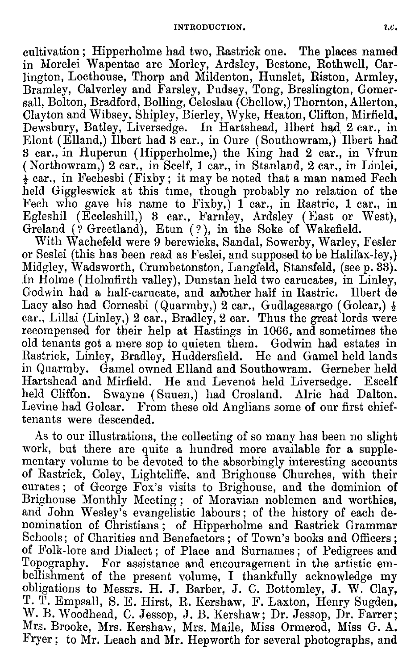#### INTRODUCTION.  $i.x$ .

cultivation; Hipperholme had two, Rastrick one. The places named in Morelei Wapentac are Morley, Ardsley, Bestone, Rothwell, Carlington, Locthouse, Thorp and Mildenton, Hunslet, Riston, Armley, Bramley, Calverley and Farsley, Pudsey, Tong, Breslington, Gomersall, Bolton, Bradford, Bolling, Celeslau (Chellow,) Thornton, Allerton, Clayton and Wibsey, Shipley, Bierley, Wyke, Heaton, Clifton, Mirfield, Dewsbury, Batley, Liversedge. In Hartshead, Ilbert had 2 car., in Elont (Elland,) Ilbert had 3 car., in Oure (Southowram,) Ilbert had 3 car., in Huperun (Hipperholme,) the King had 2 car ., in Vfrun ( Northowram,) 2 car., in Scelf, 1 car., in Stanland, 2 car., in Linlei,  $\frac{1}{2}$  car., in Fechesbi (Fixby; it may be noted that a man named Fech held Giggleswick at this time, though probably no relation of the Fech who gave his name to Fixby,  $1$  car., in Rastric,  $1$  car., in Egleshil (Eccleshill,) 3 car., Farnley, Ardsley (East or West),

Greland (? Greetland), Etun (?), in the Soke of Wakefield. With Wachefeld were 9 berewicks, Sandal, Sowerby, Warley, Fesle <sup>r</sup> or Seslei (this has been read as Feslei, and supposed to be Halifax-ley, ) Midgley, Wadsworth, Crumbetonston, Langfeld, Stansfeld, (see p. 33). In Holme (Holmfirth valley), Dunstan held two carucates, in Linley, Godwin had a half-carucate, and another half in Rastric. Ilbert de Lacy also had Cornesbi (Quarmby,) 2 car., Gudlagesargo (Golcar,)  $\frac{1}{2}$ car., Lillai (Linley,) 2 car., Bradley, 2 car. Thus the great lords were recompensed for their help at Hastings in 1066, and sometimes the old tenants got a mere sop to quieten them. Godwin had estates in Rastrick, Linley, Bradley, Huddersfield. He and Gamel held lands in Quarmby. Gamel owned Elland and Southowram. Gerneber held Hartshead and Mirfield. He and Levenot held Liversedge. Escelf held Clifton. Swayne (Suuen,) had Crosland. Alric had Dalton. Levine had Golcar. From these old Anglians some of our first chieftenants were descended.

As to our illustrations, the collecting of so many has been no slight work, but there are quite a hundred more available for a supplementary volume to be devoted to the absorbingly interesting accounts of Rastrick, Coley, Lightcliffe, and Brighouse Churches, with their curates; of George Fox's visits to Brighouse, and the dominion of Brighouse Monthly Meeting ; of Moravian noblemen and worthies, and John Wesley's evangelistic labours; of the history of each denomination of Christians ; of Hipperholme and Rastrick Grammar Schools; of Charities and Benefactors; of Town's books and Officers; of Folk-lore and Dialect; of Place and Surnames; of Pedigrees and Topography. For assistance and encouragement in the artistic embellishment of the present volume, I thankfully acknowledge my obligations to Messrs. H. J. Barber, J. C . Bottomley, J. W. Clay, T. T. Empsall, S. E. Hirst, R. Kershaw, F. Laxton, Henry Sugden, W. B . Woodhead, C. Jessop, J. B. Kershaw ; Dr. Jessop, Dr. Farrer ; Mrs. Brooke, Mrs. Kershaw, Mrs. Maile, Miss Ormerod, Miss G. A. Fryer ; to Mr. Leach and Mr. Hepworth for several photographs, and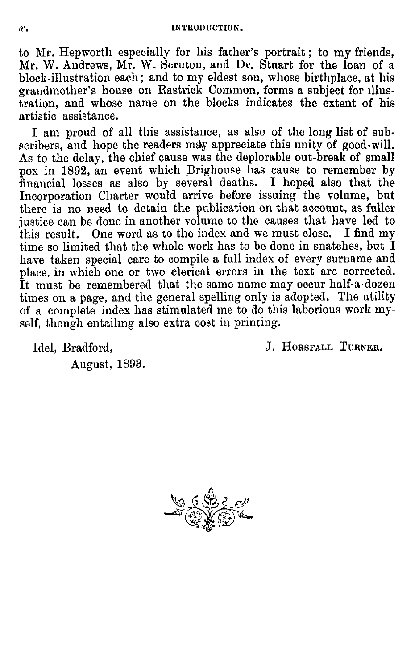to Mr. Hepworth especially for his father's portrait; to my friends, Mr. W. Andrews, Mr. W. Scruton, and Dr. Stuart for the loan of a block-illustration each ; and to my eldest son, whose birthplace, at his grandmother's house on Rastrick Common, forms a subject for illustration, and whose name on the blocks indicates the extent of his artistic assistance .

I am proud of all this assistance, as also of the long list of subscribers, and hope the readers may appreciate this unity of good-will. As to the delay, the chief cause was the deplorable out-break of small pox in 1892, an event which Brighouse has cause to remember by financial losses as also by several deaths. I hoped also that the Incorporation Charter would arrive before issuing the volume, but there is no need to detain the publication on that account, as fuller justice can be done in another volume to the causes that have led to this result. One word as to the index and we must close. I find my time so limited that the whole work has to be done in snatches, but I have taken special care to compile a full index of every surname and place, in which one or two clerical errors in the text are corrected. It must be remembered that the same name may occur half-a-dozen times on a page, and the general spelling only is adopted. The utility of a complete index has stimulated me to do this laborious work myself, though entailing also extra cost in printing.

Idel, Bradford, J. HORSFALL TURNER.

August, 1893.

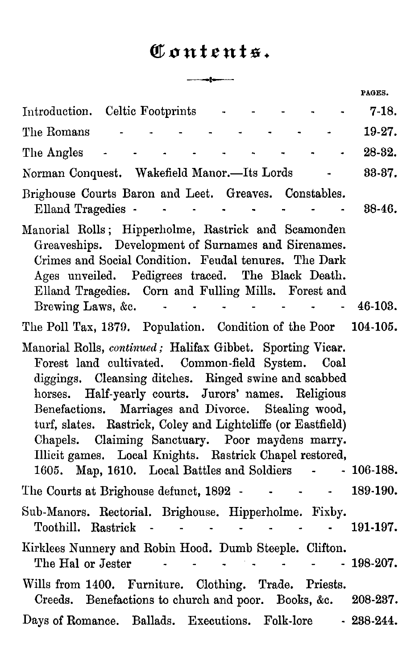# Contents.

 $\overline{\phantom{a}}$ -eto 

|                                                                                                                                                                                                                                                                                                                                                                                                                                                                           | PAGES.      |
|---------------------------------------------------------------------------------------------------------------------------------------------------------------------------------------------------------------------------------------------------------------------------------------------------------------------------------------------------------------------------------------------------------------------------------------------------------------------------|-------------|
| Introduction. Celtic Footprints                                                                                                                                                                                                                                                                                                                                                                                                                                           | $7-18.$     |
| The Romans                                                                                                                                                                                                                                                                                                                                                                                                                                                                | 19-27.      |
| The Angles -                                                                                                                                                                                                                                                                                                                                                                                                                                                              | 28-32.      |
| Norman Conquest. Wakefield Manor.-Its Lords                                                                                                                                                                                                                                                                                                                                                                                                                               | 33-37.      |
| Brighouse Courts Baron and Leet. Greaves. Constables.<br>Elland Tragedies -<br>and the contract of<br>$\tilde{\phantom{a}}$<br><b>Contract Contract</b>                                                                                                                                                                                                                                                                                                                   | 88-46.      |
| Manorial Rolls; Hipperholme, Rastrick and Scamonden<br>Greaveships. Development of Surnames and Sirenames.<br>Crimes and Social Condition. Feudal tenures. The Dark<br>Ages unveiled. Pedigrees traced. The Black Death.<br>Elland Tragedies. Corn and Fulling Mills. Forest and<br>Brewing Laws, &c.<br>$\bullet$ .<br><br><br><br><br><br><br><br><br><br><br><br><br><br><br><br>                                                                                      | 46-103.     |
| The Poll Tax, 1379. Population. Condition of the Poor 104-105.                                                                                                                                                                                                                                                                                                                                                                                                            |             |
| Manorial Rolls, continued; Halifax Gibbet. Sporting Vicar.<br>Forest land cultivated. Common-field System. Coal<br>diggings. Cleansing ditches. Ringed swine and scabbed<br>Half-yearly courts. Jurors' names. Religious<br>horses.<br>Benefactions. Marriages and Divorce. Stealing wood,<br>turf, slates. Rastrick, Coley and Lightcliffe (or Eastfield)<br>Chapels. Claiming Sanctuary. Poor maydens marry.<br>Illicit games. Local Knights. Rastrick Chapel restored, |             |
| 1605. Map, 1610. Local Battles and Soldiers - 106-188.<br>$\mathbf{L}^{\text{max}}$ , and $\mathbf{L}^{\text{max}}$                                                                                                                                                                                                                                                                                                                                                       | 189-190.    |
| The Courts at Brighouse defunct, 1892 -<br>Sub-Manors. Rectorial. Brighouse. Hipperholme. Fixby.<br>Toothill. Rastrick<br><b>Contract Contract Contract</b><br><b>Contract Contract</b><br>$\sim$<br>$\bullet$<br>$\sim$                                                                                                                                                                                                                                                  | 191-197.    |
| Kirklees Nunnery and Robin Hood. Dumb Steeple. Clifton.<br>The Hal or Jester<br>$\blacksquare$                                                                                                                                                                                                                                                                                                                                                                            | $-198-207.$ |
| Wills from 1400. Furniture. Clothing. Trade. Priests.<br>Creeds. Benefactions to church and poor. Books, &c. 208-237.                                                                                                                                                                                                                                                                                                                                                     |             |
| Days of Romance. Ballads. Executions. Folk-lore - 238-244.                                                                                                                                                                                                                                                                                                                                                                                                                |             |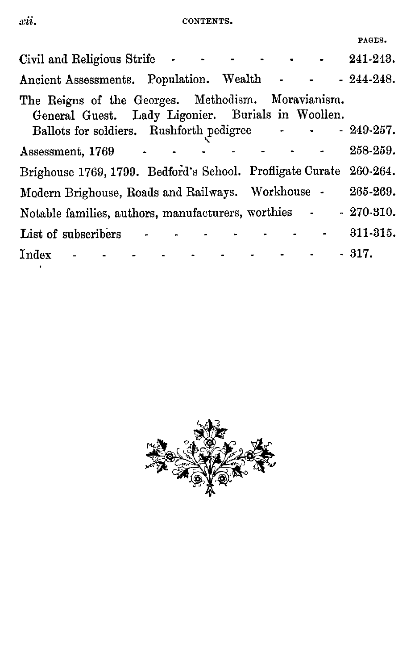#### CONTENTS.

**PAGES .**

Civil and Religious Strife - - - - - - 241-243. Ancient Assessments. Population. Wealth - - - 244-248. The Reigns of the Georges. Methodism. Moravianism. General Guest. Lady Ligonier. Burials in Woollen.<br>Ballots for soldiers. Rushforth pedigree - - - - 249-257. Ballots for soldiers. Assessment, 1769 . . . . . . 258-259. Brighouse 1769, 1799. Bedford's School. Profligate Curate 260-264. Modern Brighouse, Roads and Railways. Workhouse - 265-269. Notable families, authors, manufacturers, worthies - - 270-310. List of subscribers  $\sim$   $\sim$   $\sim$   $\sim$   $\sim$  311-315.  $\text{Index}$  . . . . . . . . . . 317.

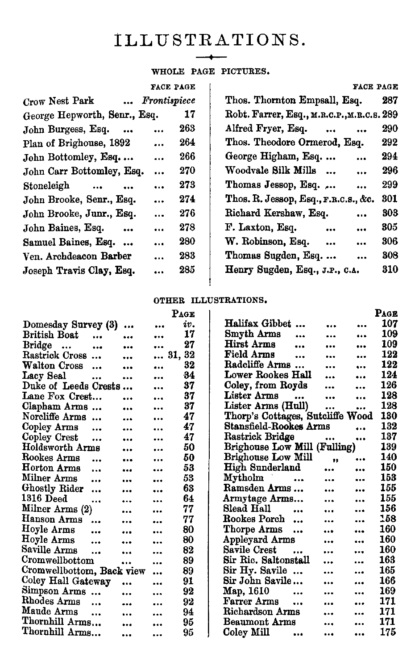# ILLUSTRATIONS.

### **WHOLE PAGE PICTURES .**

| <b>FACE PAGE</b>                                  | <b>FACE PAGE</b>                                 |
|---------------------------------------------------|--------------------------------------------------|
| Crow Nest Park  Frontispiece                      | Thos. Thornton Empsall, Esq.<br>287              |
| 17<br>George Hepworth, Senr., Esq.                | Robt. Farrer, Esq., M.R.C.P., M.R.C.S. 289       |
| 263<br>John Burgess, Esq.<br>$\cdots$<br>$\cdots$ | Alfred Fryer, Esq.<br>290<br>$\ddotsc$           |
| 264<br>Plan of Brighouse, 1892<br>$\ddotsc$       | Thos. Theodore Ormerod, Esq.<br>292              |
| 266<br>John Bottomley, Esq<br>$\ddotsc$           | George Higham, Esq<br>294<br>$\cdots$            |
| 270<br>John Carr Bottomley, Esq.<br>$\ddotsc$     | Woodvale Silk Mills<br>296<br>$\ddotsc$          |
| 273<br>Stoneleigh<br>$\cdots$<br>$\ddotsc$        | Thomas Jessop, Esq.<br>299<br>$\ddotsc$          |
| 274<br>John Brooke, Senr., Esq.<br>$\cdots$       | Thos. R. Jessop, Esq., F.R.C.S., &c.<br>301      |
| 276<br>John Brooke, Junr., Esq.<br>$\ddotsc$      | Richard Kershaw, Esq.<br>303<br>                 |
| 278<br>John Baines, Esq.<br>$\ddotsc$             | 305<br>F. Laxton, Esq.<br>$\ddotsc$<br>$\ddotsc$ |
| 280<br>Samuel Baines, Esq.<br>$\ddotsc$           | W. Robinson, Esq.<br>306<br>$\cdots$<br>$\cdots$ |
| 283<br>Ven. Archdeacon Barber<br>$\ddotsc$        | Thomas Sugden, Esq<br>308<br>                    |
| 285<br>Joseph Travis Clay, Esq.<br>$\cdots$       | 310<br>Henry Sugden, Esq., J.P., C.A.            |

## **OTHER ILLUSTRATIONS .**

|                                        |                      |                      | $_{\rm {\bf PaGE}}$ |                                                     | Расе |
|----------------------------------------|----------------------|----------------------|---------------------|-----------------------------------------------------|------|
| Domesday Survey (3)                    |                      |                      | iv.                 | Halifax Gibbet<br>$\ddotsc$<br><br>                 | 107  |
| <b>British Boat</b><br>$\ddotsc$       | $\ddotsc$            |                      | 17                  | Smyth Arms<br>$\ddot{\phantom{a}}$<br><br>$\ddotsc$ | 109  |
| <b>Bridge</b><br>$\cdots$<br>$\ddotsc$ | $\ddot{\phantom{a}}$ | $\ddotsc$            | 27                  | Hirst Arms<br>$\ddot{\phantom{a}}$<br><br>          | 109  |
| Rastrick Cross                         | $\ddotsc$            | $\cdots$             | 32<br>31,           | Field Arms<br>$\ddotsc$<br><br>                     | 122  |
| Walton Cross<br>$\ddotsc$              | $\cdots$             |                      | 32                  | Radcliffe Arms<br>$\ddotsc$<br>                     | 122  |
| Lacy Seal<br>                          |                      |                      | 34                  | Lower Rookes Hall<br><br>$\ddotsc$                  | 124  |
| Duke of Leeds Crests                   |                      | $\ddotsc$            | 37                  | Coley, from Royds<br><br>                           | 126  |
| Lane Fox Crest                         |                      | $\ddot{\phantom{a}}$ | 37                  | Lister Arms<br>$\ddotsc$<br>$\cdots$<br>$\ddotsc$   | 128  |
| Clapham Arms                           |                      |                      | 37                  | Lister Arms (Hull)<br><br>                          | 128  |
| Norcliffe Arms<br>$\ddotsc$            |                      |                      | 47                  | Thorp's Cottages, Sutcliffe Wood                    | 130  |
| Copley Arms<br>$\ddotsc$               |                      |                      | 47                  | <b>Stansfield-Rookes Arms</b><br>                   | 132  |
| Copley Crest<br>                       |                      |                      | 47                  | Rastrick Bridge<br>$\ddotsc$<br>                    | 137  |
| Holdsworth Arms                        |                      |                      | 50                  | <b>Brighouse Low Mill (Fulling)</b>                 | 139  |
| Rookes Arms<br>                        | $\cdots$             |                      | 50                  | Brighouse Low Mill<br><br>,,                        | 140  |
| <b>Horton Arms</b><br>$\ddotsc$        | $\ddotsc$            |                      | 53                  | High Sunderland<br><br>$\ddot{\phantom{a}}$         | 150  |
| Milner Arms<br>                        |                      |                      | 53                  | Mytholm<br><br><br>                                 | 153  |
| Ghostly Rider<br>$\ddot{\phantom{a}}$  |                      |                      | 63                  | Ramsden Arms<br>$\ddotsc$<br>                       | 155  |
| 1316 Deed<br>                          |                      |                      | 64                  | Armytage Arms<br><br>                               | 155  |
| Milner Arms (2)                        |                      |                      | 77                  | Slead Hall<br><br>$\ddotsc$<br>$\ddotsc$            | 156  |
| Hanson Arms<br>$\ddotsc$               |                      |                      | 77                  | Rookes Porch<br>$\ddotsc$<br><br>$\ddotsc$          | 158  |
| Hoyle Arms<br>$\ddotsc$                |                      | $\ddotsc$            | 80                  | Thorpe Arms<br>$\ddotsc$<br>$\cdots$<br>            | 160  |
| Hoyle Arms<br>$\ddotsc$                |                      | $\ddotsc$            | 80                  | Appleyard Arms<br><br>$\ddotsc$                     | 160  |
| Saville Arms<br>$\ddotsc$              |                      |                      | 82                  | Savile Crest<br><br>                                | 160  |
| Cromwellbottom                         |                      | $\ddotsc$            | 89                  | Sir Ric. Saltonstall<br><br>                        | 163  |
| Cromwellbottom, Back view              |                      |                      | 89                  | Sir Hy. Savile<br>$\ddotsc$                         | 165  |
| Coley Hall Gateway                     |                      |                      | 91                  | <br>Sir John Savile                                 | 166  |
|                                        | $\ddot{\phantom{a}}$ | $\ddot{\phantom{a}}$ | 92                  | <br><br>Map, 1610                                   | 169  |
| Simpson Arms<br>Rhodes Arms            |                      |                      |                     | <br><br><br>Farrer Arms                             | 171  |
|                                        |                      |                      | 92                  | <br><br>                                            |      |
| Maude Arms<br>$\ddot{\phantom{a}}$     | $\cdots$             |                      | 94                  | Richardson Arms<br>$\cdots$<br>                     | 171  |
| Thornhill Arms                         | $\ddotsc$            | $\ddotsc$            | 95                  | <b>Beaumont Arms</b><br><br>                        | 171  |
| Thornhill Arms                         | $\ddotsc$            | $\ddotsc$            | 95                  | Coley Mill<br>$\ddotsc$<br><br>                     | 175  |